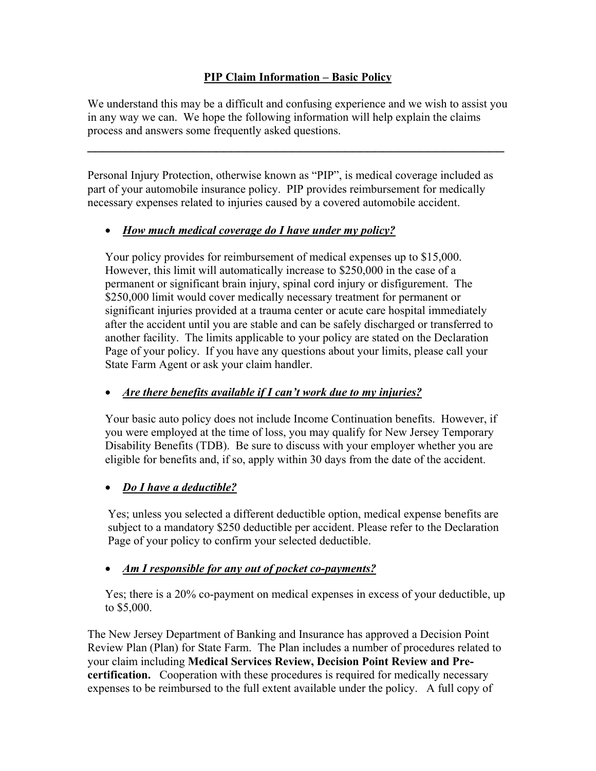#### **PIP Claim Information – Basic Policy**

We understand this may be a difficult and confusing experience and we wish to assist you in any way we can. We hope the following information will help explain the claims process and answers some frequently asked questions.

\_\_\_\_\_\_\_\_\_\_\_\_\_\_\_\_\_\_\_\_\_\_\_\_\_\_\_\_\_\_\_\_\_\_\_\_\_\_\_\_\_\_\_\_\_\_\_\_\_\_\_\_\_\_\_

Personal Injury Protection, otherwise known as "PIP", is medical coverage included as part of your automobile insurance policy. PIP provides reimbursement for medically necessary expenses related to injuries caused by a covered automobile accident.

#### • *How much medical coverage do I have under my policy?*

Your policy provides for reimbursement of medical expenses up to \$15,000. However, this limit will automatically increase to \$250,000 in the case of a permanent or significant brain injury, spinal cord injury or disfigurement. The \$250,000 limit would cover medically necessary treatment for permanent or significant injuries provided at a trauma center or acute care hospital immediately after the accident until you are stable and can be safely discharged or transferred to another facility. The limits applicable to your policy are stated on the Declaration Page of your policy. If you have any questions about your limits, please call your State Farm Agent or ask your claim handler.

#### • *Are there benefits available if I can't work due to my injuries?*

Your basic auto policy does not include Income Continuation benefits. However, if you were employed at the time of loss, you may qualify for New Jersey Temporary Disability Benefits (TDB). Be sure to discuss with your employer whether you are eligible for benefits and, if so, apply within 30 days from the date of the accident.

## • *Do I have a deductible?*

Yes; unless you selected a different deductible option, medical expense benefits are subject to a mandatory \$250 deductible per accident. Please refer to the Declaration Page of your policy to confirm your selected deductible.

## • *Am I responsible for any out of pocket co-payments?*

Yes; there is a 20% co-payment on medical expenses in excess of your deductible, up to \$5,000.

The New Jersey Department of Banking and Insurance has approved a Decision Point Review Plan (Plan) for State Farm. The Plan includes a number of procedures related to your claim including **Medical Services Review, Decision Point Review and Precertification.** Cooperation with these procedures is required for medically necessary expenses to be reimbursed to the full extent available under the policy. A full copy of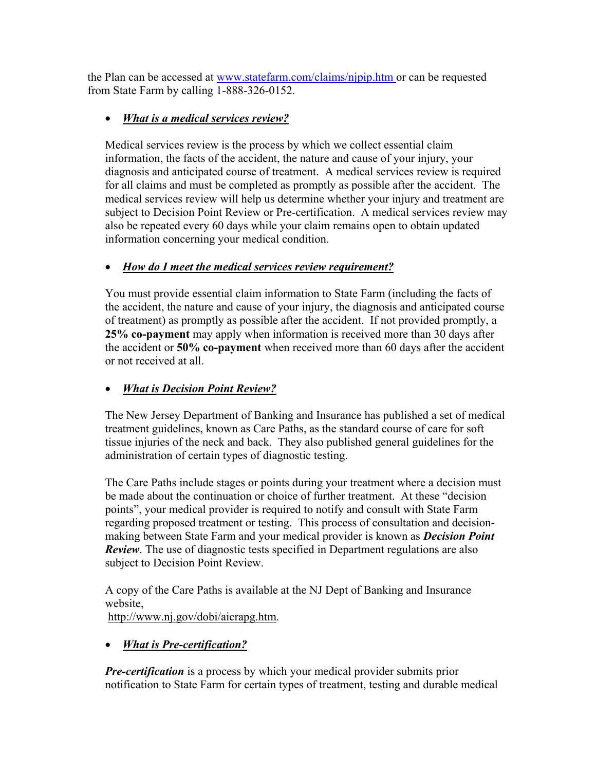the Plan can be accessed at www.statefarm.com/claims/njpip.htm or can be requested from State Farm by calling 1-888-326-0152.

# • *What is a medical services review?*

Medical services review is the process by which we collect essential claim information, the facts of the accident, the nature and cause of your injury, your diagnosis and anticipated course of treatment. A medical services review is required for all claims and must be completed as promptly as possible after the accident. The medical services review will help us determine whether your injury and treatment are subject to Decision Point Review or Pre-certification. A medical services review may also be repeated every 60 days while your claim remains open to obtain updated information concerning your medical condition.

## • *How do I meet the medical services review requirement?*

You must provide essential claim information to State Farm (including the facts of the accident, the nature and cause of your injury, the diagnosis and anticipated course of treatment) as promptly as possible after the accident. If not provided promptly, a **25% co-payment** may apply when information is received more than 30 days after the accident or **50% co-payment** when received more than 60 days after the accident or not received at all.

# • *What is Decision Point Review?*

The New Jersey Department of Banking and Insurance has published a set of medical treatment guidelines, known as Care Paths, as the standard course of care for soft tissue injuries of the neck and back. They also published general guidelines for the administration of certain types of diagnostic testing.

The Care Paths include stages or points during your treatment where a decision must be made about the continuation or choice of further treatment. At these "decision points", your medical provider is required to notify and consult with State Farm regarding proposed treatment or testing. This process of consultation and decisionmaking between State Farm and your medical provider is known as *Decision Point Review*. The use of diagnostic tests specified in Department regulations are also subject to Decision Point Review.

A copy of the Care Paths is available at the NJ Dept of Banking and Insurance website,

http://www.nj.gov/dobi/aicrapg.htm.

# • *What is Pre-certification?*

*Pre-certification* is a process by which your medical provider submits prior notification to State Farm for certain types of treatment, testing and durable medical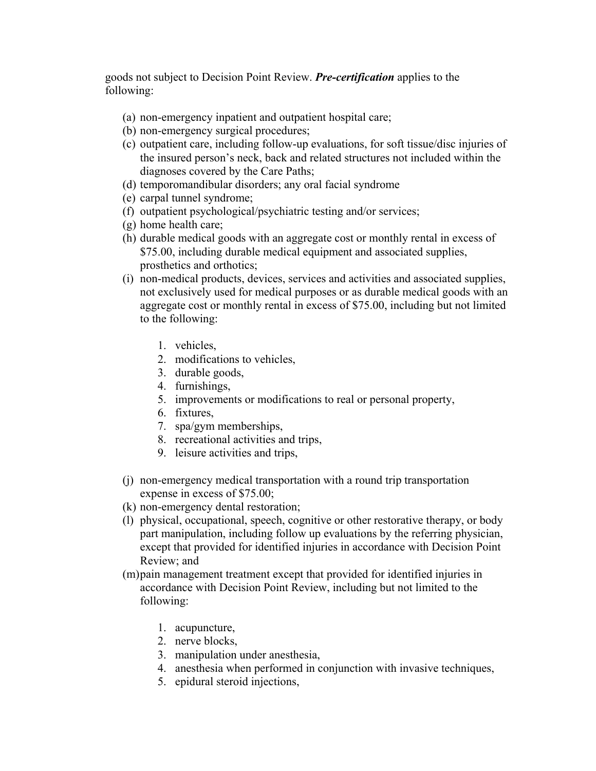goods not subject to Decision Point Review. *Pre-certification* applies to the following:

- (a) non-emergency inpatient and outpatient hospital care;
- (b) non-emergency surgical procedures;
- (c) outpatient care, including follow-up evaluations, for soft tissue/disc injuries of the insured person's neck, back and related structures not included within the diagnoses covered by the Care Paths;
- (d) temporomandibular disorders; any oral facial syndrome
- (e) carpal tunnel syndrome;
- (f) outpatient psychological/psychiatric testing and/or services;
- (g) home health care;
- (h) durable medical goods with an aggregate cost or monthly rental in excess of \$75.00, including durable medical equipment and associated supplies, prosthetics and orthotics;
- (i) non-medical products, devices, services and activities and associated supplies, not exclusively used for medical purposes or as durable medical goods with an aggregate cost or monthly rental in excess of \$75.00, including but not limited to the following:
	- 1. vehicles,
	- 2. modifications to vehicles,
	- 3. durable goods,
	- 4. furnishings,
	- 5. improvements or modifications to real or personal property,
	- 6. fixtures,
	- 7. spa/gym memberships,
	- 8. recreational activities and trips,
	- 9. leisure activities and trips,
- (j) non-emergency medical transportation with a round trip transportation expense in excess of \$75.00;
- (k) non-emergency dental restoration;
- (l) physical, occupational, speech, cognitive or other restorative therapy, or body part manipulation, including follow up evaluations by the referring physician, except that provided for identified injuries in accordance with Decision Point Review; and
- (m)pain management treatment except that provided for identified injuries in accordance with Decision Point Review, including but not limited to the following:
	- 1. acupuncture,
	- 2. nerve blocks,
	- 3. manipulation under anesthesia,
	- 4. anesthesia when performed in conjunction with invasive techniques,
	- 5. epidural steroid injections,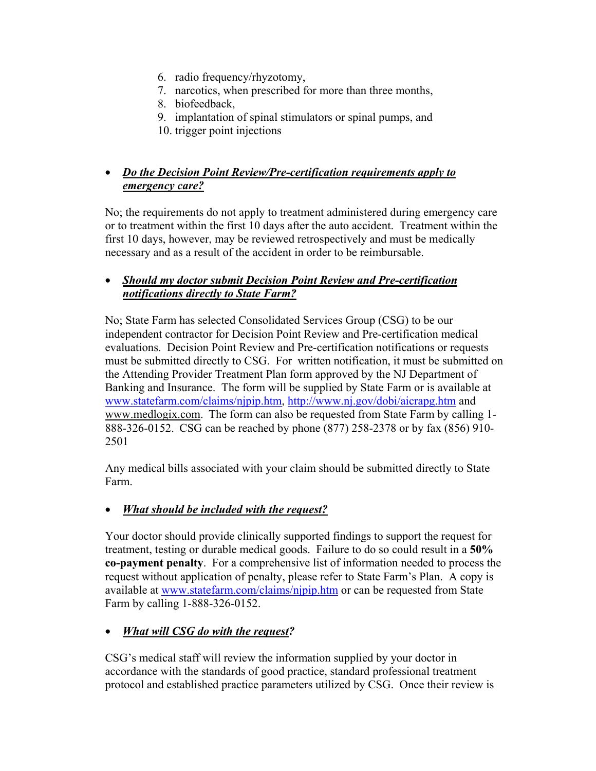- 6. radio frequency/rhyzotomy,
- 7. narcotics, when prescribed for more than three months,
- 8. biofeedback,
- 9. implantation of spinal stimulators or spinal pumps, and
- 10. trigger point injections

## • *Do the Decision Point Review/Pre-certification requirements apply to emergency care?*

No; the requirements do not apply to treatment administered during emergency care or to treatment within the first 10 days after the auto accident. Treatment within the first 10 days, however, may be reviewed retrospectively and must be medically necessary and as a result of the accident in order to be reimbursable.

#### • *Should my doctor submit Decision Point Review and Pre-certification notifications directly to State Farm?*

No; State Farm has selected Consolidated Services Group (CSG) to be our independent contractor for Decision Point Review and Pre-certification medical evaluations. Decision Point Review and Pre-certification notifications or requests must be submitted directly to CSG. For written notification, it must be submitted on the Attending Provider Treatment Plan form approved by the NJ Department of Banking and Insurance. The form will be supplied by State Farm or is available at www.statefarm.com/claims/njpip.htm, http://www.nj.gov/dobi/aicrapg.htm and www.medlogix.com.The form can also be requested from State Farm by calling 1- 888-326-0152. CSG can be reached by phone (877) 258-2378 or by fax (856) 910- 2501

Any medical bills associated with your claim should be submitted directly to State Farm.

## • *What should be included with the request?*

Your doctor should provide clinically supported findings to support the request for treatment, testing or durable medical goods. Failure to do so could result in a **50% co-payment penalty**. For a comprehensive list of information needed to process the request without application of penalty, please refer to State Farm's Plan. A copy is available at www.statefarm.com/claims/njpip.htm or can be requested from State Farm by calling 1-888-326-0152.

## • *What will CSG do with the request?*

CSG's medical staff will review the information supplied by your doctor in accordance with the standards of good practice, standard professional treatment protocol and established practice parameters utilized by CSG. Once their review is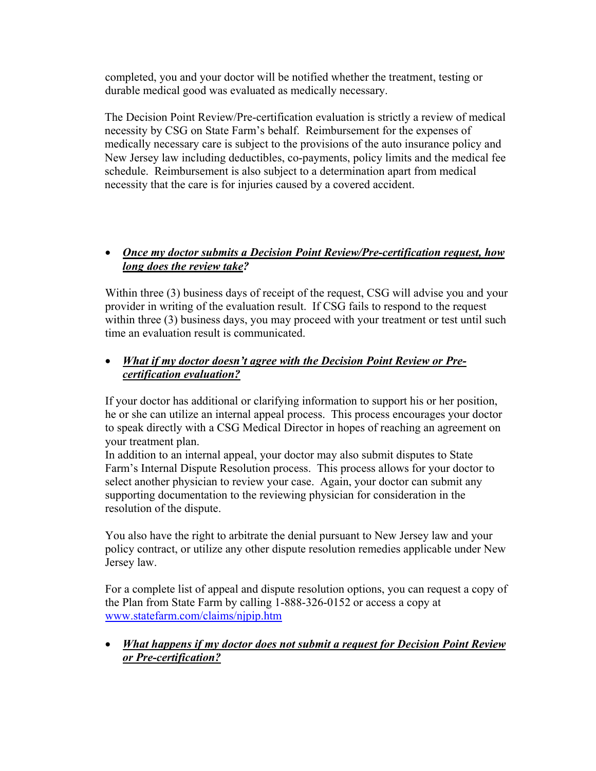completed, you and your doctor will be notified whether the treatment, testing or durable medical good was evaluated as medically necessary.

The Decision Point Review/Pre-certification evaluation is strictly a review of medical necessity by CSG on State Farm's behalf. Reimbursement for the expenses of medically necessary care is subject to the provisions of the auto insurance policy and New Jersey law including deductibles, co-payments, policy limits and the medical fee schedule. Reimbursement is also subject to a determination apart from medical necessity that the care is for injuries caused by a covered accident.

#### • *Once my doctor submits a Decision Point Review/Pre-certification request, how long does the review take?*

Within three (3) business days of receipt of the request, CSG will advise you and your provider in writing of the evaluation result. If CSG fails to respond to the request within three (3) business days, you may proceed with your treatment or test until such time an evaluation result is communicated.

#### • *What if my doctor doesn't agree with the Decision Point Review or Precertification evaluation?*

If your doctor has additional or clarifying information to support his or her position, he or she can utilize an internal appeal process. This process encourages your doctor to speak directly with a CSG Medical Director in hopes of reaching an agreement on your treatment plan.

In addition to an internal appeal, your doctor may also submit disputes to State Farm's Internal Dispute Resolution process. This process allows for your doctor to select another physician to review your case. Again, your doctor can submit any supporting documentation to the reviewing physician for consideration in the resolution of the dispute.

You also have the right to arbitrate the denial pursuant to New Jersey law and your policy contract, or utilize any other dispute resolution remedies applicable under New Jersey law.

For a complete list of appeal and dispute resolution options, you can request a copy of the Plan from State Farm by calling 1-888-326-0152 or access a copy at www.statefarm.com/claims/njpip.htm

#### • *What happens if my doctor does not submit a request for Decision Point Review or Pre-certification?*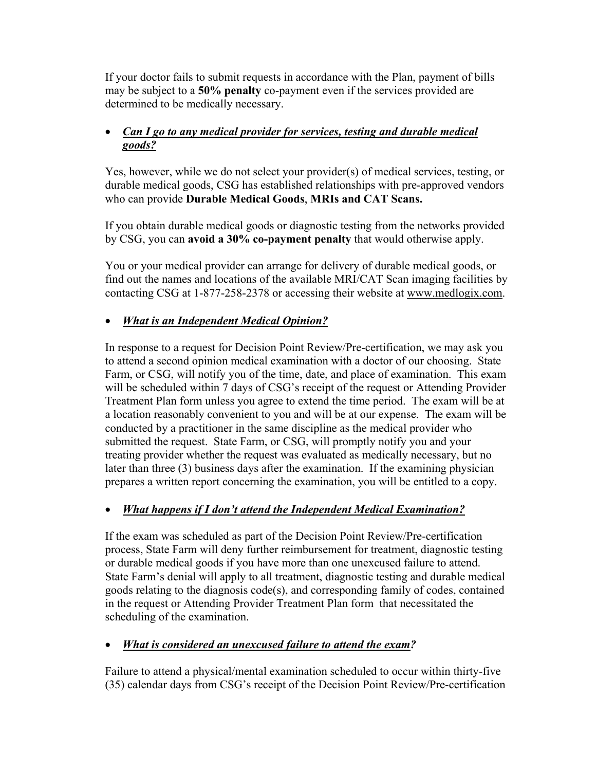If your doctor fails to submit requests in accordance with the Plan, payment of bills may be subject to a **50% penalty** co-payment even if the services provided are determined to be medically necessary.

## • *Can I go to any medical provider for services, testing and durable medical goods?*

Yes, however, while we do not select your provider(s) of medical services, testing, or durable medical goods, CSG has established relationships with pre-approved vendors who can provide **Durable Medical Goods**, **MRIs and CAT Scans.** 

If you obtain durable medical goods or diagnostic testing from the networks provided by CSG, you can **avoid a 30% co-payment penalty** that would otherwise apply.

You or your medical provider can arrange for delivery of durable medical goods, or find out the names and locations of the available MRI/CAT Scan imaging facilities by contacting CSG at 1-877-258-2378 or accessing their website at www.medlogix.com.

## • *What is an Independent Medical Opinion?*

In response to a request for Decision Point Review/Pre-certification, we may ask you to attend a second opinion medical examination with a doctor of our choosing. State Farm, or CSG, will notify you of the time, date, and place of examination. This exam will be scheduled within 7 days of CSG's receipt of the request or Attending Provider Treatment Plan form unless you agree to extend the time period. The exam will be at a location reasonably convenient to you and will be at our expense. The exam will be conducted by a practitioner in the same discipline as the medical provider who submitted the request. State Farm, or CSG, will promptly notify you and your treating provider whether the request was evaluated as medically necessary, but no later than three (3) business days after the examination. If the examining physician prepares a written report concerning the examination, you will be entitled to a copy.

# • *What happens if I don't attend the Independent Medical Examination?*

If the exam was scheduled as part of the Decision Point Review/Pre-certification process, State Farm will deny further reimbursement for treatment, diagnostic testing or durable medical goods if you have more than one unexcused failure to attend. State Farm's denial will apply to all treatment, diagnostic testing and durable medical goods relating to the diagnosis code(s), and corresponding family of codes, contained in the request or Attending Provider Treatment Plan form that necessitated the scheduling of the examination.

## • *What is considered an unexcused failure to attend the exam?*

Failure to attend a physical/mental examination scheduled to occur within thirty-five (35) calendar days from CSG's receipt of the Decision Point Review/Pre-certification